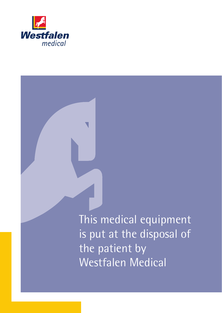

This medical equipment equipment is put at the disposal of the patient by byWestfalen Medical